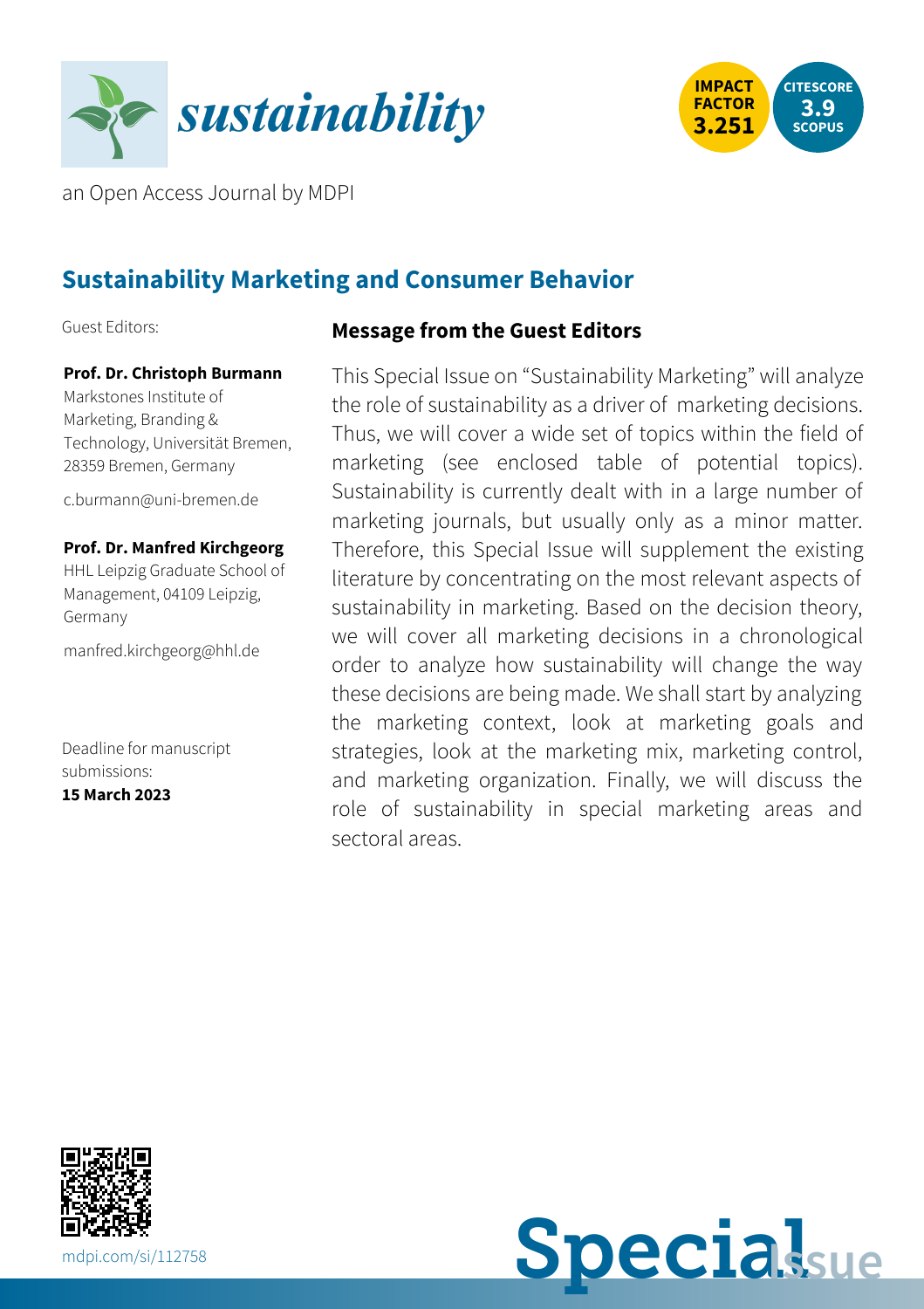



an Open Access Journal by MDPI

# **Sustainability Marketing and Consumer Behavior**

Guest Editors:

#### **Prof. Dr. Christoph Burmann**

Markstones Institute of Marketing, Branding & Technology, Universität Bremen, 28359 Bremen, Germany

[c.burmann@uni-bremen.de](mailto:c.burmann@uni-bremen.de)

#### **Prof. Dr. Manfred Kirchgeorg**

HHL Leipzig Graduate School of Management, 04109 Leipzig, Germany

[manfred.kirchgeorg@hhl.de](mailto:manfred.kirchgeorg@hhl.de)

Deadline for manuscript submissions: **15 March 2023**

### **Message from the Guest Editors**

This Special Issue on "Sustainability Marketing" will analyze the role of sustainability as a driver of marketing decisions. Thus, we will cover a wide set of topics within the field of marketing (see enclosed table of potential topics). Sustainability is currently dealt with in a large number of marketing journals, but usually only as a minor matter. Therefore, this Special Issue will supplement the existing literature by concentrating on the most relevant aspects of sustainability in marketing. Based on the decision theory, we will cover all marketing decisions in a chronological order to analyze how sustainability will change the way these decisions are being made. We shall start by analyzing the marketing context, look at marketing goals and strategies, look at the marketing mix, marketing control, and marketing organization. Finally, we will discuss the role of sustainability in special marketing areas and sectoral areas.



**Special**sue